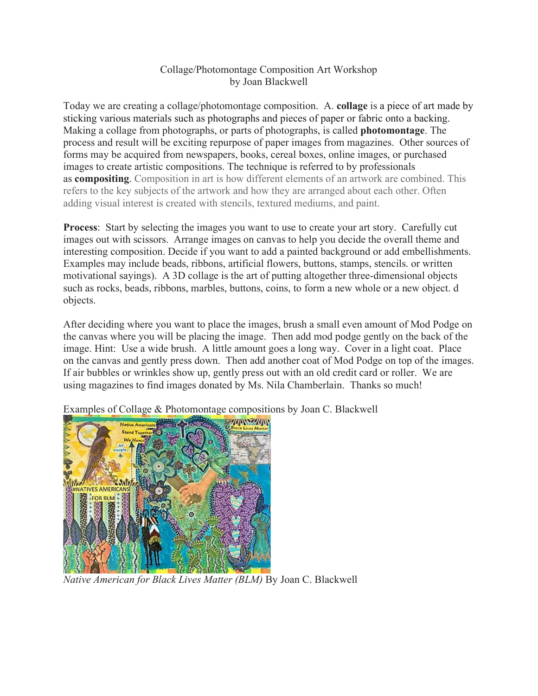## Collage/Photomontage Composition Art Workshop by Joan Blackwell

Today we are creating a collage/photomontage composition. A. **collage** is a piece of art made by sticking various materials such as photographs and pieces of paper or fabric onto a backing. Making a collage from photographs, or parts of photographs, is called **photomontage**. The process and result will be exciting repurpose of paper images from magazines. Other sources of forms may be acquired from newspapers, books, cereal boxes, online images, or purchased images to create artistic compositions. The technique is referred to by professionals as **compositing**. Composition in art is how different elements of an artwork are combined. This refers to the key subjects of the artwork and how they are arranged about each other. Often adding visual interest is created with stencils, textured mediums, and paint.

**Process**: Start by selecting the images you want to use to create your art story. Carefully cut images out with scissors. Arrange images on canvas to help you decide the overall theme and interesting composition. Decide if you want to add a painted background or add embellishments. Examples may include beads, ribbons, artificial flowers, buttons, stamps, stencils. or written motivational sayings). A 3D collage is the art of putting altogether three-dimensional objects such as rocks, beads, ribbons, marbles, buttons, coins, to form a new whole or a new object. d objects.

After deciding where you want to place the images, brush a small even amount of Mod Podge on the canvas where you will be placing the image. Then add mod podge gently on the back of the image. Hint: Use a wide brush. A little amount goes a long way. Cover in a light coat. Place on the canvas and gently press down. Then add another coat of Mod Podge on top of the images. If air bubbles or wrinkles show up, gently press out with an old credit card or roller. We are using magazines to find images donated by Ms. Nila Chamberlain. Thanks so much!



Examples of Collage & Photomontage compositions by Joan C. Blackwell

*Native American for Black Lives Matter (BLM)* By Joan C. Blackwell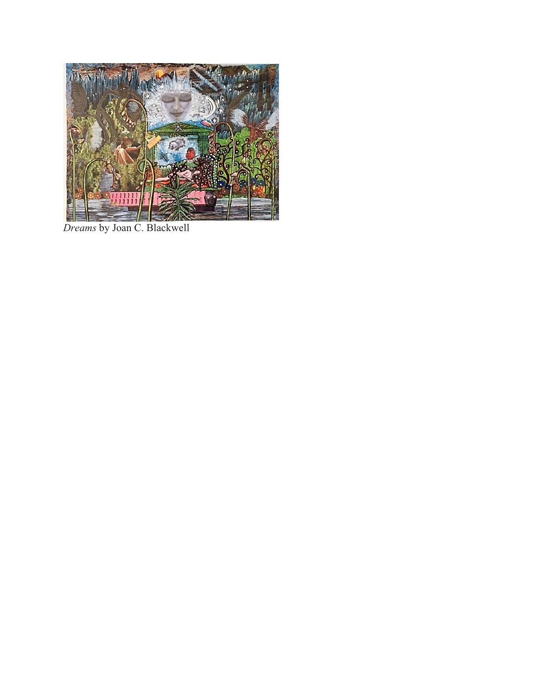

*Dreams* by Joan C. Blackwell